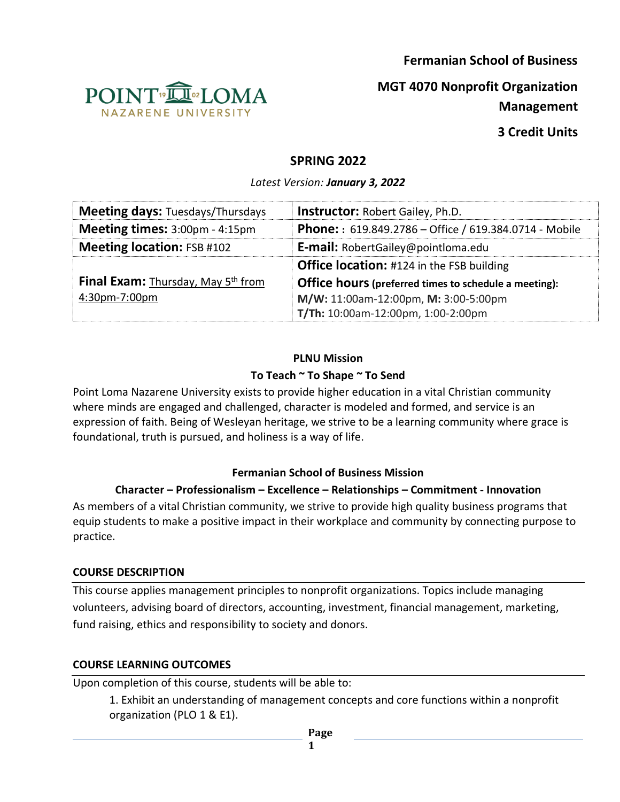**Fermanian School of Business**



**MGT 4070 Nonprofit Organization** 

**Management** 

**3 Credit Units**

# **SPRING 2022**

*Latest Version: January 3, 2022*

| <b>Meeting days: Tuesdays/Thursdays</b> | <b>Instructor: Robert Gailey, Ph.D.</b>                           |
|-----------------------------------------|-------------------------------------------------------------------|
| Meeting times: 3:00pm - 4:15pm          | <b>Phone:</b> : $619.849.2786 -$ Office / $619.384.0714 -$ Mobile |
| <b>Meeting location: FSB #102</b>       | <b>E-mail:</b> RobertGailey@pointloma.edu                         |
|                                         | <b>Office location:</b> #124 in the FSB building                  |
| Final Exam: Thursday, May 5th from      | <b>Office hours (preferred times to schedule a meeting):</b>      |
| 4:30pm-7:00pm                           | M/W: 11:00am-12:00pm, M: 3:00-5:00pm                              |
|                                         | T/Th: 10:00am-12:00pm, 1:00-2:00pm                                |

### **PLNU Mission**

#### **To Teach ~ To Shape ~ To Send**

Point Loma Nazarene University exists to provide higher education in a vital Christian community where minds are engaged and challenged, character is modeled and formed, and service is an expression of faith. Being of Wesleyan heritage, we strive to be a learning community where grace is foundational, truth is pursued, and holiness is a way of life.

#### **Fermanian School of Business Mission**

### **Character – Professionalism – Excellence – Relationships – Commitment - Innovation**

As members of a vital Christian community, we strive to provide high quality business programs that equip students to make a positive impact in their workplace and community by connecting purpose to practice.

#### **COURSE DESCRIPTION**

This course applies management principles to nonprofit organizations. Topics include managing volunteers, advising board of directors, accounting, investment, financial management, marketing, fund raising, ethics and responsibility to society and donors.

### **COURSE LEARNING OUTCOMES**

Upon completion of this course, students will be able to:

1. Exhibit an understanding of management concepts and core functions within a nonprofit organization (PLO 1 & E1).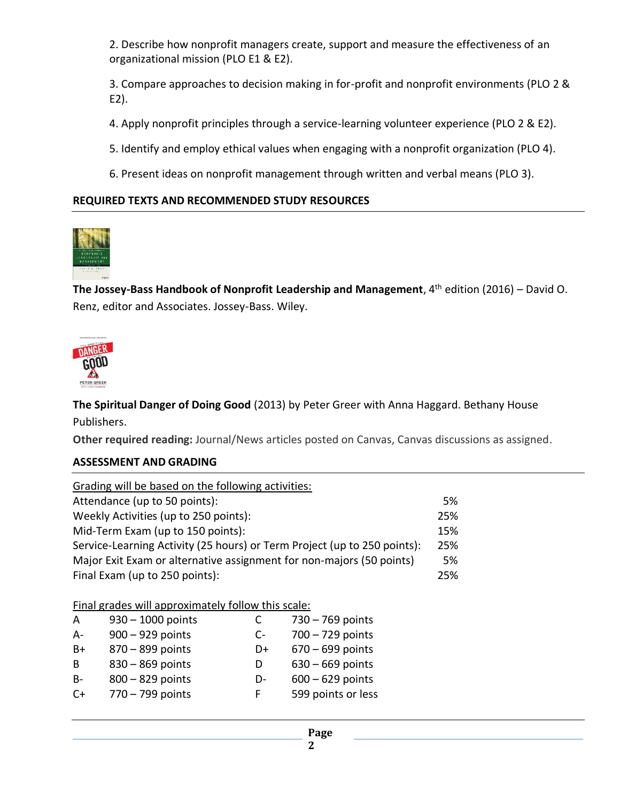2. Describe how nonprofit managers create, support and measure the effectiveness of an organizational mission (PLO E1 & E2).

3. Compare approaches to decision making in for-profit and nonprofit environments (PLO 2 & E2).

4. Apply nonprofit principles through a service-learning volunteer experience (PLO 2 & E2).

5. Identify and employ ethical values when engaging with a nonprofit organization (PLO 4).

6. Present ideas on nonprofit management through written and verbal means (PLO 3).

#### **REQUIRED TEXTS AND RECOMMENDED STUDY RESOURCES**



**The Jossey-Bass Handbook of Nonprofit Leadership and Management**, 4th edition (2016) – David O. Renz, editor and Associates. Jossey-Bass. Wiley.



**The Spiritual Danger of Doing Good** (2013) by Peter Greer with Anna Haggard. Bethany House Publishers.

**Other required reading:** Journal/News articles posted on Canvas, Canvas discussions as assigned.

#### **ASSESSMENT AND GRADING**

| Grading will be based on the following activities:                       |     |
|--------------------------------------------------------------------------|-----|
| Attendance (up to 50 points):                                            | 5%  |
| Weekly Activities (up to 250 points):                                    | 25% |
| Mid-Term Exam (up to 150 points):                                        | 15% |
| Service-Learning Activity (25 hours) or Term Project (up to 250 points): | 25% |
| Major Exit Exam or alternative assignment for non-majors (50 points)     | 5%  |
| Final Exam (up to 250 points):                                           | 25% |

Final grades will approximately follow this scale:

| A         | $930 - 1000$ points | C    | $730 - 769$ points |
|-----------|---------------------|------|--------------------|
| $A -$     | 900 - 929 points    | $C-$ | $700 - 729$ points |
| B+        | 870 - 899 points    | D+   | $670 - 699$ points |
| B         | 830 - 869 points    | D    | $630 - 669$ points |
| <b>B-</b> | 800 - 829 points    | D-   | $600 - 629$ points |
| $C+$      | 770 - 799 points    | F.   | 599 points or less |
|           |                     |      |                    |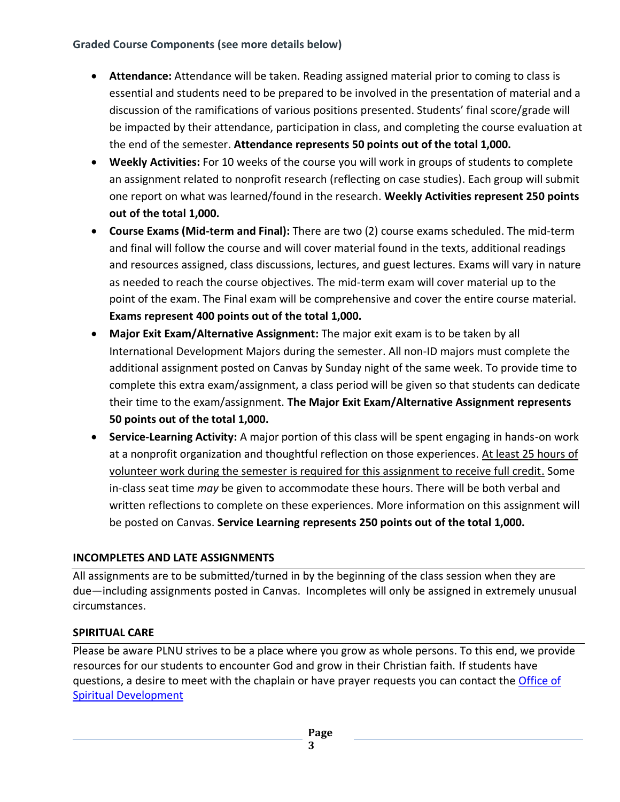### **Graded Course Components (see more details below)**

- **Attendance:** Attendance will be taken. Reading assigned material prior to coming to class is essential and students need to be prepared to be involved in the presentation of material and a discussion of the ramifications of various positions presented. Students' final score/grade will be impacted by their attendance, participation in class, and completing the course evaluation at the end of the semester. **Attendance represents 50 points out of the total 1,000.**
- **Weekly Activities:** For 10 weeks of the course you will work in groups of students to complete an assignment related to nonprofit research (reflecting on case studies). Each group will submit one report on what was learned/found in the research. **Weekly Activities represent 250 points out of the total 1,000.**
- **Course Exams (Mid-term and Final):** There are two (2) course exams scheduled. The mid-term and final will follow the course and will cover material found in the texts, additional readings and resources assigned, class discussions, lectures, and guest lectures. Exams will vary in nature as needed to reach the course objectives. The mid-term exam will cover material up to the point of the exam. The Final exam will be comprehensive and cover the entire course material. **Exams represent 400 points out of the total 1,000.**
- **Major Exit Exam/Alternative Assignment:** The major exit exam is to be taken by all International Development Majors during the semester. All non-ID majors must complete the additional assignment posted on Canvas by Sunday night of the same week. To provide time to complete this extra exam/assignment, a class period will be given so that students can dedicate their time to the exam/assignment. **The Major Exit Exam/Alternative Assignment represents 50 points out of the total 1,000.**
- **Service-Learning Activity:** A major portion of this class will be spent engaging in hands-on work at a nonprofit organization and thoughtful reflection on those experiences. At least 25 hours of volunteer work during the semester is required for this assignment to receive full credit. Some in-class seat time *may* be given to accommodate these hours. There will be both verbal and written reflections to complete on these experiences. More information on this assignment will be posted on Canvas. **Service Learning represents 250 points out of the total 1,000.**

# **INCOMPLETES AND LATE ASSIGNMENTS**

All assignments are to be submitted/turned in by the beginning of the class session when they are due—including assignments posted in Canvas. Incompletes will only be assigned in extremely unusual circumstances.

### **SPIRITUAL CARE**

Please be aware PLNU strives to be a place where you grow as whole persons. To this end, we provide resources for our students to encounter God and grow in their Christian faith. If students have questions, a desire to meet with the chaplain or have prayer requests you can contact the *Office of* Spiritual Development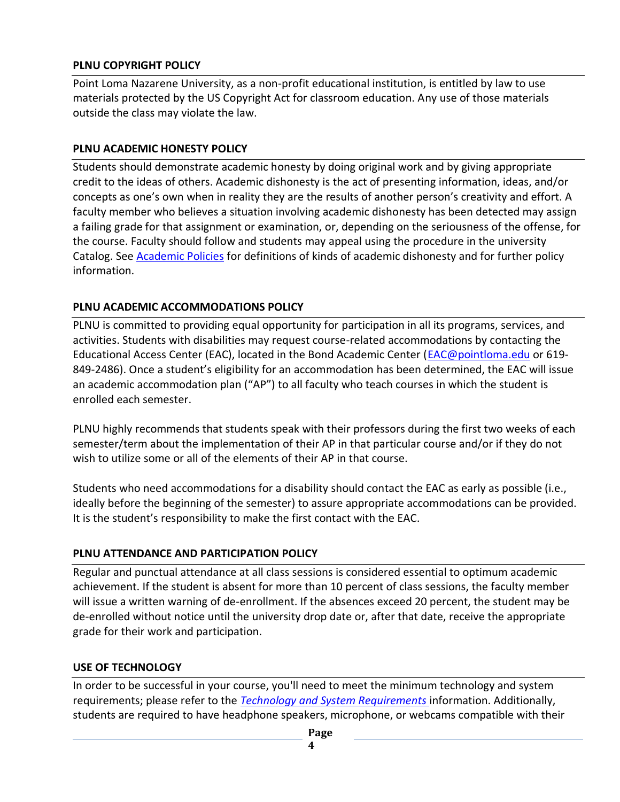#### **PLNU COPYRIGHT POLICY**

Point Loma Nazarene University, as a non-profit educational institution, is entitled by law to use materials protected by the US Copyright Act for classroom education. Any use of those materials outside the class may violate the law.

#### **PLNU ACADEMIC HONESTY POLICY**

Students should demonstrate academic honesty by doing original work and by giving appropriate credit to the ideas of others. Academic dishonesty is the act of presenting information, ideas, and/or concepts as one's own when in reality they are the results of another person's creativity and effort. A faculty member who believes a situation involving academic dishonesty has been detected may assign a failing grade for that assignment or examination, or, depending on the seriousness of the offense, for the course. Faculty should follow and students may appeal using the procedure in the university Catalog. See [Academic Policies](https://catalog.pointloma.edu/content.php?catoid=52&navoid=2919#Academic_Honesty) for definitions of kinds of academic dishonesty and for further policy information.

#### **PLNU ACADEMIC ACCOMMODATIONS POLICY**

PLNU is committed to providing equal opportunity for participation in all its programs, services, and activities. Students with disabilities may request course-related accommodations by contacting the Educational Access Center (EAC), located in the Bond Academic Center [\(EAC@pointloma.edu](mailto:EAC@pointloma.edu) or 619- 849-2486). Once a student's eligibility for an accommodation has been determined, the EAC will issue an academic accommodation plan ("AP") to all faculty who teach courses in which the student is enrolled each semester.

PLNU highly recommends that students speak with their professors during the first two weeks of each semester/term about the implementation of their AP in that particular course and/or if they do not wish to utilize some or all of the elements of their AP in that course.

Students who need accommodations for a disability should contact the EAC as early as possible (i.e., ideally before the beginning of the semester) to assure appropriate accommodations can be provided. It is the student's responsibility to make the first contact with the EAC.

### **PLNU ATTENDANCE AND PARTICIPATION POLICY**

Regular and punctual attendance at all class sessions is considered essential to optimum academic achievement. If the student is absent for more than 10 percent of class sessions, the faculty member will issue a written warning of de-enrollment. If the absences exceed 20 percent, the student may be de-enrolled without notice until the university drop date or, after that date, receive the appropriate grade for their work and participation.

### **USE OF TECHNOLOGY**

In order to be successful in your course, you'll need to meet the minimum technology and system requirements; please refer to the *[Technology and System Requirements](https://help.pointloma.edu/TDClient/1808/Portal/KB/ArticleDet?ID=108349)* information. Additionally, students are required to have headphone speakers, microphone, or webcams compatible with their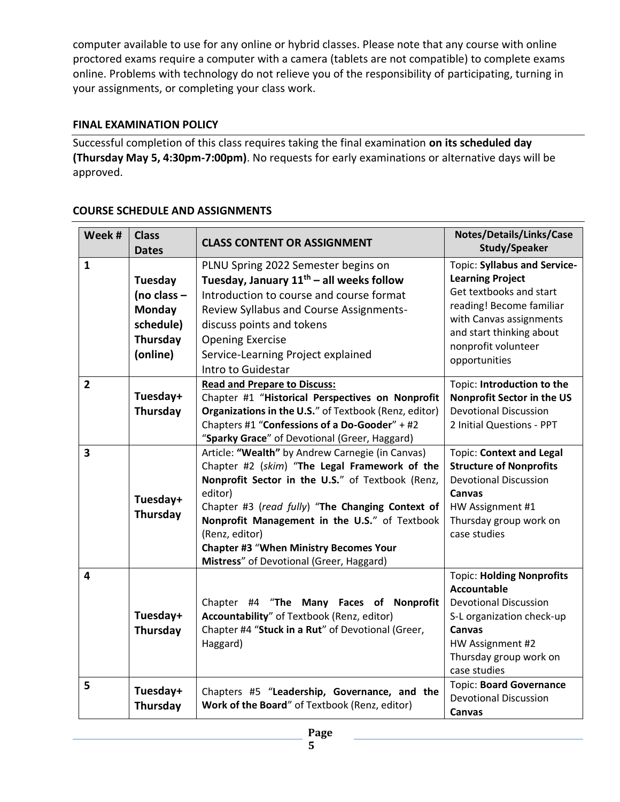computer available to use for any online or hybrid classes. Please note that any course with online proctored exams require a computer with a camera (tablets are not compatible) to complete exams online. Problems with technology do not relieve you of the responsibility of participating, turning in your assignments, or completing your class work.

### **FINAL EXAMINATION POLICY**

Successful completion of this class requires taking the final examination **on its scheduled day (Thursday May 5, 4:30pm-7:00pm)**. No requests for early examinations or alternative days will be approved.

| Week #                  | <b>Class</b><br><b>Dates</b>                                            | <b>CLASS CONTENT OR ASSIGNMENT</b>                                                                                                                                                                                                                                                                                                                                                   | Notes/Details/Links/Case<br><b>Study/Speaker</b>                                                                                                                                                              |
|-------------------------|-------------------------------------------------------------------------|--------------------------------------------------------------------------------------------------------------------------------------------------------------------------------------------------------------------------------------------------------------------------------------------------------------------------------------------------------------------------------------|---------------------------------------------------------------------------------------------------------------------------------------------------------------------------------------------------------------|
| $\mathbf{1}$            | Tuesday<br>(no class $-$<br>Monday<br>schedule)<br>Thursday<br>(online) | PLNU Spring 2022 Semester begins on<br>Tuesday, January $11^{th}$ – all weeks follow<br>Introduction to course and course format<br>Review Syllabus and Course Assignments-<br>discuss points and tokens<br><b>Opening Exercise</b><br>Service-Learning Project explained<br>Intro to Guidestar                                                                                      | Topic: Syllabus and Service-<br><b>Learning Project</b><br>Get textbooks and start<br>reading! Become familiar<br>with Canvas assignments<br>and start thinking about<br>nonprofit volunteer<br>opportunities |
| $\overline{2}$          | Tuesday+<br>Thursday                                                    | <b>Read and Prepare to Discuss:</b><br>Chapter #1 "Historical Perspectives on Nonprofit<br>Organizations in the U.S." of Textbook (Renz, editor)<br>Chapters #1 "Confessions of a Do-Gooder" + #2<br>"Sparky Grace" of Devotional (Greer, Haggard)                                                                                                                                   | Topic: Introduction to the<br><b>Nonprofit Sector in the US</b><br><b>Devotional Discussion</b><br>2 Initial Questions - PPT                                                                                  |
| $\overline{\mathbf{3}}$ | Tuesday+<br>Thursday                                                    | Article: "Wealth" by Andrew Carnegie (in Canvas)<br>Chapter #2 (skim) "The Legal Framework of the<br>Nonprofit Sector in the U.S." of Textbook (Renz,<br>editor)<br>Chapter #3 (read fully) "The Changing Context of<br>Nonprofit Management in the U.S." of Textbook<br>(Renz, editor)<br><b>Chapter #3 "When Ministry Becomes Your</b><br>Mistress" of Devotional (Greer, Haggard) | <b>Topic: Context and Legal</b><br><b>Structure of Nonprofits</b><br><b>Devotional Discussion</b><br>Canvas<br>HW Assignment #1<br>Thursday group work on<br>case studies                                     |
| 4                       | Tuesday+<br>Thursday                                                    | Chapter #4 "The Many Faces of Nonprofit<br>Accountability" of Textbook (Renz, editor)<br>Chapter #4 "Stuck in a Rut" of Devotional (Greer,<br>Haggard)                                                                                                                                                                                                                               | <b>Topic: Holding Nonprofits</b><br>Accountable<br><b>Devotional Discussion</b><br>S-L organization check-up<br>Canvas<br>HW Assignment #2<br>Thursday group work on<br>case studies                          |
| 5                       | Tuesday+<br>Thursday                                                    | Chapters #5 "Leadership, Governance, and the<br>Work of the Board" of Textbook (Renz, editor)                                                                                                                                                                                                                                                                                        | <b>Topic: Board Governance</b><br><b>Devotional Discussion</b><br><b>Canvas</b>                                                                                                                               |

#### **COURSE SCHEDULE AND ASSIGNMENTS**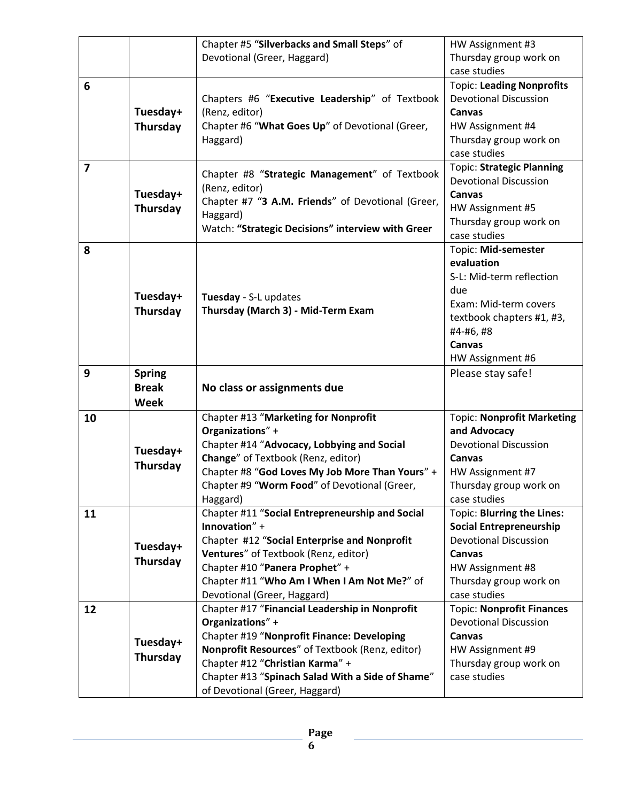|                |               | Chapter #5 "Silverbacks and Small Steps" of                      | HW Assignment #3                                             |
|----------------|---------------|------------------------------------------------------------------|--------------------------------------------------------------|
|                |               | Devotional (Greer, Haggard)                                      | Thursday group work on                                       |
|                |               |                                                                  | case studies                                                 |
| 6              |               |                                                                  | <b>Topic: Leading Nonprofits</b>                             |
|                |               | Chapters #6 "Executive Leadership" of Textbook                   | <b>Devotional Discussion</b>                                 |
|                | Tuesday+      | (Renz, editor)                                                   | Canvas                                                       |
|                | Thursday      | Chapter #6 "What Goes Up" of Devotional (Greer,                  | HW Assignment #4                                             |
|                |               | Haggard)                                                         | Thursday group work on                                       |
|                |               |                                                                  | case studies                                                 |
| $\overline{7}$ |               |                                                                  | <b>Topic: Strategic Planning</b>                             |
|                |               | Chapter #8 "Strategic Management" of Textbook                    | <b>Devotional Discussion</b>                                 |
|                | Tuesday+      | (Renz, editor)                                                   | Canvas                                                       |
|                | Thursday      | Chapter #7 "3 A.M. Friends" of Devotional (Greer,                | HW Assignment #5                                             |
|                |               | Haggard)                                                         | Thursday group work on                                       |
|                |               | Watch: "Strategic Decisions" interview with Greer                | case studies                                                 |
| 8              |               |                                                                  | Topic: Mid-semester                                          |
|                |               |                                                                  | evaluation                                                   |
|                |               |                                                                  | S-L: Mid-term reflection                                     |
|                |               |                                                                  | due                                                          |
|                | Tuesday+      | Tuesday - S-L updates                                            | Exam: Mid-term covers                                        |
|                | Thursday      | Thursday (March 3) - Mid-Term Exam                               | textbook chapters #1, #3,                                    |
|                |               |                                                                  | #4-#6, #8                                                    |
|                |               |                                                                  | <b>Canvas</b>                                                |
|                |               |                                                                  | HW Assignment #6                                             |
|                |               |                                                                  |                                                              |
| 9              |               |                                                                  |                                                              |
|                | <b>Spring</b> |                                                                  | Please stay safe!                                            |
|                | <b>Break</b>  | No class or assignments due                                      |                                                              |
|                | <b>Week</b>   |                                                                  |                                                              |
| 10             |               | Chapter #13 "Marketing for Nonprofit                             | <b>Topic: Nonprofit Marketing</b>                            |
|                |               | Organizations" +                                                 | and Advocacy                                                 |
|                | Tuesday+      | Chapter #14 "Advocacy, Lobbying and Social                       | <b>Devotional Discussion</b><br><b>Canvas</b>                |
|                | Thursday      | Change" of Textbook (Renz, editor)                               |                                                              |
|                |               | Chapter #8 "God Loves My Job More Than Yours" +                  | HW Assignment #7                                             |
|                |               | Chapter #9 "Worm Food" of Devotional (Greer,                     | Thursday group work on                                       |
|                |               | Haggard)                                                         | case studies                                                 |
| 11             |               | Chapter #11 "Social Entrepreneurship and Social<br>Innovation" + | Topic: Blurring the Lines:<br><b>Social Entrepreneurship</b> |
|                |               | Chapter #12 "Social Enterprise and Nonprofit                     | <b>Devotional Discussion</b>                                 |
|                | Tuesday+      | Ventures" of Textbook (Renz, editor)                             | Canvas                                                       |
|                | Thursday      | Chapter #10 "Panera Prophet" +                                   | HW Assignment #8                                             |
|                |               | Chapter #11 "Who Am I When I Am Not Me?" of                      | Thursday group work on                                       |
|                |               | Devotional (Greer, Haggard)                                      | case studies                                                 |
| 12             |               | Chapter #17 "Financial Leadership in Nonprofit                   | <b>Topic: Nonprofit Finances</b>                             |
|                |               | Organizations" +                                                 | <b>Devotional Discussion</b>                                 |
|                |               | Chapter #19 "Nonprofit Finance: Developing                       | Canvas                                                       |
|                | Tuesday+      | Nonprofit Resources" of Textbook (Renz, editor)                  | HW Assignment #9                                             |
|                | Thursday      | Chapter #12 "Christian Karma" +                                  | Thursday group work on                                       |
|                |               | Chapter #13 "Spinach Salad With a Side of Shame"                 | case studies                                                 |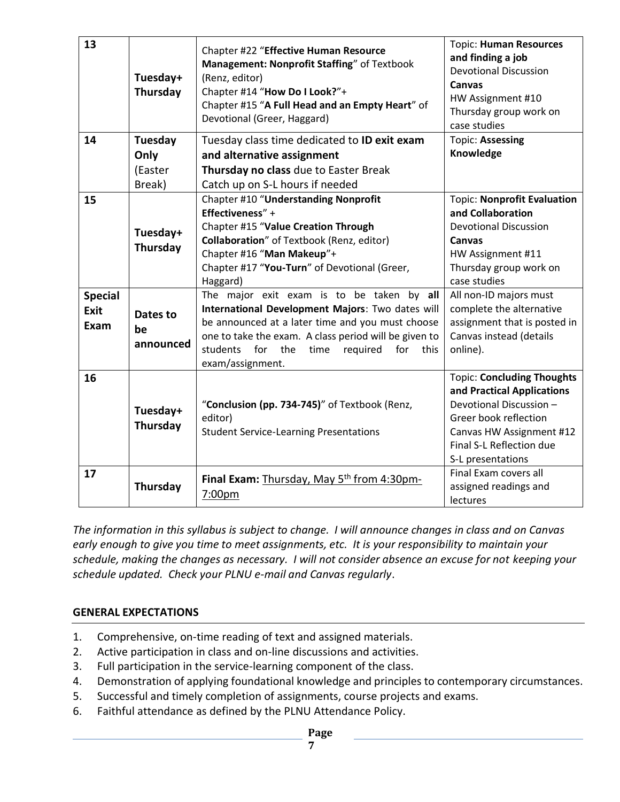| 13                             | Tuesday+<br>Thursday                 | Chapter #22 "Effective Human Resource<br>Management: Nonprofit Staffing" of Textbook<br>(Renz, editor)<br>Chapter #14 "How Do I Look?"+<br>Chapter #15 "A Full Head and an Empty Heart" of<br>Devotional (Greer, Haggard)                                                                | <b>Topic: Human Resources</b><br>and finding a job<br><b>Devotional Discussion</b><br>Canvas<br>HW Assignment #10<br>Thursday group work on<br>case studies                                      |
|--------------------------------|--------------------------------------|------------------------------------------------------------------------------------------------------------------------------------------------------------------------------------------------------------------------------------------------------------------------------------------|--------------------------------------------------------------------------------------------------------------------------------------------------------------------------------------------------|
| 14                             | Tuesday<br>Only<br>(Easter<br>Break) | Tuesday class time dedicated to ID exit exam<br>and alternative assignment<br>Thursday no class due to Easter Break<br>Catch up on S-L hours if needed                                                                                                                                   | <b>Topic: Assessing</b><br>Knowledge                                                                                                                                                             |
| 15                             | Tuesday+<br>Thursday                 | Chapter #10 "Understanding Nonprofit<br>Effectiveness" +<br>Chapter #15 "Value Creation Through<br>Collaboration" of Textbook (Renz, editor)<br>Chapter #16 "Man Makeup"+<br>Chapter #17 "You-Turn" of Devotional (Greer,<br>Haggard)                                                    | <b>Topic: Nonprofit Evaluation</b><br>and Collaboration<br><b>Devotional Discussion</b><br>Canvas<br>HW Assignment #11<br>Thursday group work on<br>case studies                                 |
| <b>Special</b><br>Exit<br>Exam | Dates to<br>be<br>announced          | The major exit exam is to be taken by all<br>International Development Majors: Two dates will<br>be announced at a later time and you must choose<br>one to take the exam. A class period will be given to<br>students for<br>the<br>time<br>required<br>for<br>this<br>exam/assignment. | All non-ID majors must<br>complete the alternative<br>assignment that is posted in<br>Canvas instead (details<br>online).                                                                        |
| 16                             | Tuesday+<br>Thursday                 | "Conclusion (pp. 734-745)" of Textbook (Renz,<br>editor)<br><b>Student Service-Learning Presentations</b>                                                                                                                                                                                | <b>Topic: Concluding Thoughts</b><br>and Practical Applications<br>Devotional Discussion -<br>Greer book reflection<br>Canvas HW Assignment #12<br>Final S-L Reflection due<br>S-L presentations |
| 17                             | Thursday                             | Final Exam: Thursday, May 5 <sup>th</sup> from 4:30pm-<br>7:00pm                                                                                                                                                                                                                         | Final Exam covers all<br>assigned readings and<br>lectures                                                                                                                                       |

*The information in this syllabus is subject to change. I will announce changes in class and on Canvas early enough to give you time to meet assignments, etc. It is your responsibility to maintain your schedule, making the changes as necessary. I will not consider absence an excuse for not keeping your schedule updated. Check your PLNU e-mail and Canvas regularly*.

#### **GENERAL EXPECTATIONS**

- 1. Comprehensive, on-time reading of text and assigned materials.
- 2. Active participation in class and on-line discussions and activities.
- 3. Full participation in the service-learning component of the class.
- 4. Demonstration of applying foundational knowledge and principles to contemporary circumstances.
- 5. Successful and timely completion of assignments, course projects and exams.
- 6. Faithful attendance as defined by the PLNU Attendance Policy.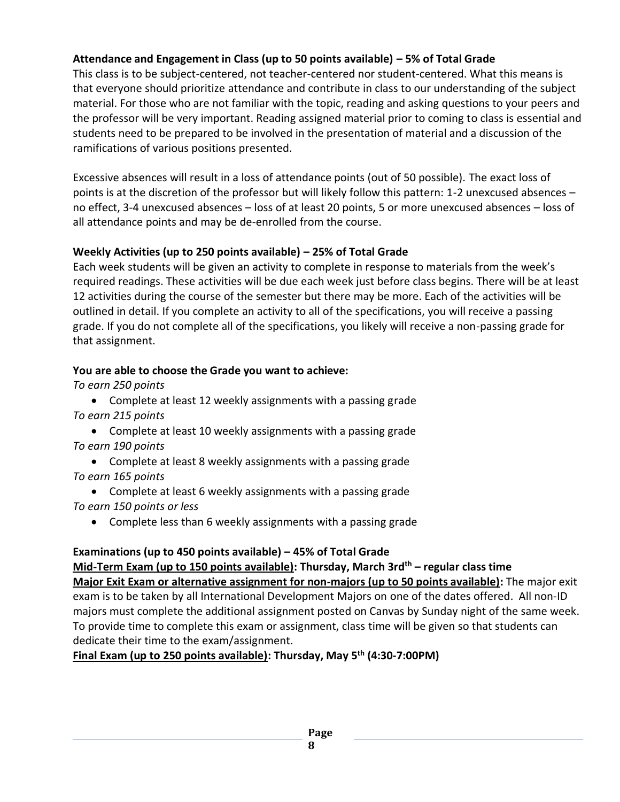# **Attendance and Engagement in Class (up to 50 points available) – 5% of Total Grade**

This class is to be subject-centered, not teacher-centered nor student-centered. What this means is that everyone should prioritize attendance and contribute in class to our understanding of the subject material. For those who are not familiar with the topic, reading and asking questions to your peers and the professor will be very important. Reading assigned material prior to coming to class is essential and students need to be prepared to be involved in the presentation of material and a discussion of the ramifications of various positions presented.

Excessive absences will result in a loss of attendance points (out of 50 possible). The exact loss of points is at the discretion of the professor but will likely follow this pattern: 1-2 unexcused absences – no effect, 3-4 unexcused absences – loss of at least 20 points, 5 or more unexcused absences – loss of all attendance points and may be de-enrolled from the course.

### **Weekly Activities (up to 250 points available) – 25% of Total Grade**

Each week students will be given an activity to complete in response to materials from the week's required readings. These activities will be due each week just before class begins. There will be at least 12 activities during the course of the semester but there may be more. Each of the activities will be outlined in detail. If you complete an activity to all of the specifications, you will receive a passing grade. If you do not complete all of the specifications, you likely will receive a non-passing grade for that assignment.

# **You are able to choose the Grade you want to achieve:**

*To earn 250 points*

• Complete at least 12 weekly assignments with a passing grade *To earn 215 points*

- Complete at least 10 weekly assignments with a passing grade *To earn 190 points*
- Complete at least 8 weekly assignments with a passing grade *To earn 165 points*
- Complete at least 6 weekly assignments with a passing grade *To earn 150 points or less*
	- Complete less than 6 weekly assignments with a passing grade

# **Examinations (up to 450 points available) – 45% of Total Grade**

# **Mid-Term Exam (up to 150 points available): Thursday, March 3rdth – regular class time**

**Major Exit Exam or alternative assignment for non-majors (up to 50 points available):** The major exit exam is to be taken by all International Development Majors on one of the dates offered. All non-ID majors must complete the additional assignment posted on Canvas by Sunday night of the same week. To provide time to complete this exam or assignment, class time will be given so that students can dedicate their time to the exam/assignment.

**Final Exam (up to 250 points available): Thursday, May 5th (4:30-7:00PM)**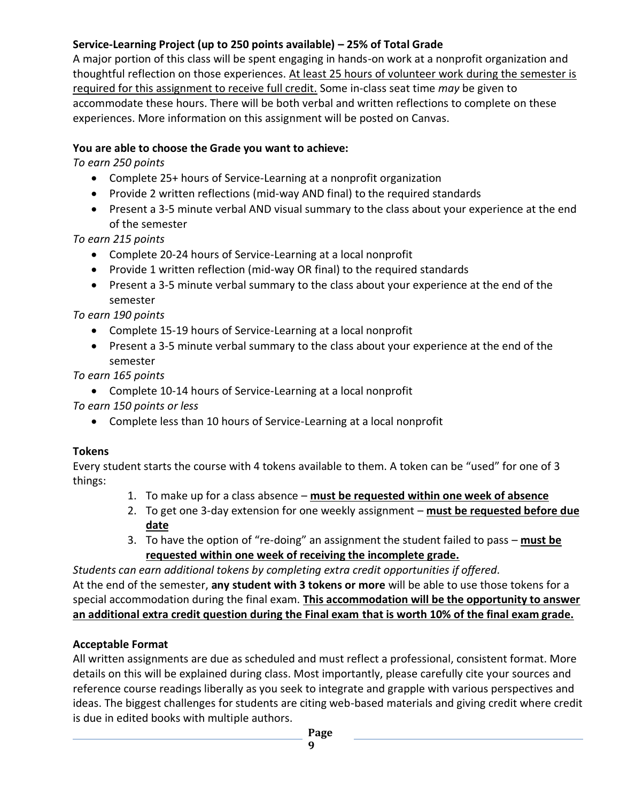# **Service-Learning Project (up to 250 points available) – 25% of Total Grade**

A major portion of this class will be spent engaging in hands-on work at a nonprofit organization and thoughtful reflection on those experiences. At least 25 hours of volunteer work during the semester is required for this assignment to receive full credit. Some in-class seat time *may* be given to accommodate these hours. There will be both verbal and written reflections to complete on these experiences. More information on this assignment will be posted on Canvas.

## **You are able to choose the Grade you want to achieve:**

*To earn 250 points*

- Complete 25+ hours of Service-Learning at a nonprofit organization
- Provide 2 written reflections (mid-way AND final) to the required standards
- Present a 3-5 minute verbal AND visual summary to the class about your experience at the end of the semester

*To earn 215 points*

- Complete 20-24 hours of Service-Learning at a local nonprofit
- Provide 1 written reflection (mid-way OR final) to the required standards
- Present a 3-5 minute verbal summary to the class about your experience at the end of the semester

*To earn 190 points*

- Complete 15-19 hours of Service-Learning at a local nonprofit
- Present a 3-5 minute verbal summary to the class about your experience at the end of the semester

*To earn 165 points*

• Complete 10-14 hours of Service-Learning at a local nonprofit

*To earn 150 points or less*

• Complete less than 10 hours of Service-Learning at a local nonprofit

# **Tokens**

Every student starts the course with 4 tokens available to them. A token can be "used" for one of 3 things:

- 1. To make up for a class absence **must be requested within one week of absence**
- 2. To get one 3-day extension for one weekly assignment **must be requested before due date**
- 3. To have the option of "re-doing" an assignment the student failed to pass **must be requested within one week of receiving the incomplete grade.**

*Students can earn additional tokens by completing extra credit opportunities if offered.* At the end of the semester, **any student with 3 tokens or more** will be able to use those tokens for a special accommodation during the final exam. **This accommodation will be the opportunity to answer an additional extra credit question during the Final exam that is worth 10% of the final exam grade.** 

# **Acceptable Format**

All written assignments are due as scheduled and must reflect a professional, consistent format. More details on this will be explained during class. Most importantly, please carefully cite your sources and reference course readings liberally as you seek to integrate and grapple with various perspectives and ideas. The biggest challenges for students are citing web-based materials and giving credit where credit is due in edited books with multiple authors.